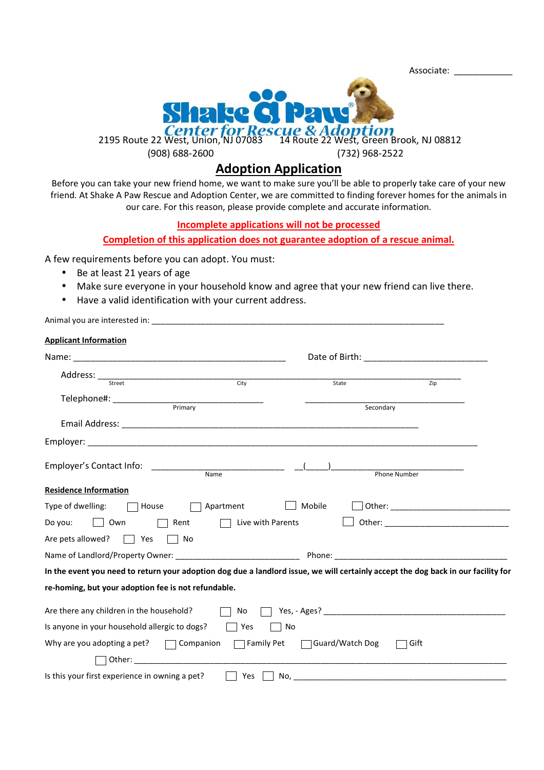Associate: \_\_\_\_\_\_\_\_\_\_\_\_



## **Adoption Application**

Before you can take your new friend home, we want to make sure you'll be able to properly take care of your new friend. At Shake A Paw Rescue and Adoption Center, we are committed to finding forever homes for the animals in our care. For this reason, please provide complete and accurate information.

## **Incomplete applications will not be processed**

## **Completion of this application does not guarantee adoption of a rescue animal.**

A few requirements before you can adopt. You must:

- Be at least 21 years of age
- Make sure everyone in your household know and agree that your new friend can live there.
- Have a valid identification with your current address.

| <b>Applicant Information</b>                                                                                                      |                   |                 |              |
|-----------------------------------------------------------------------------------------------------------------------------------|-------------------|-----------------|--------------|
|                                                                                                                                   |                   |                 |              |
|                                                                                                                                   |                   |                 |              |
|                                                                                                                                   |                   | State           | Zip          |
| Telephone#: ______________<br>Primary                                                                                             |                   | Secondary       |              |
|                                                                                                                                   |                   |                 |              |
|                                                                                                                                   |                   |                 |              |
| Employer's Contact Info:                                                                                                          | Name              |                 | Phone Number |
| <b>Residence Information</b>                                                                                                      |                   |                 |              |
| Type of dwelling:<br>House                                                                                                        | Apartment         | Mobile          |              |
| Do you:<br>Own<br>Rent                                                                                                            | Live with Parents |                 |              |
| Are pets allowed?<br>Yes<br>No                                                                                                    |                   |                 |              |
| Name of Landlord/Property Owner: _______________________________                                                                  |                   |                 |              |
| In the event you need to return your adoption dog due a landlord issue, we will certainly accept the dog back in our facility for |                   |                 |              |
| re-homing, but your adoption fee is not refundable.                                                                               |                   |                 |              |
| Are there any children in the household?                                                                                          | No                | Yes, - Ages?    |              |
| Is anyone in your household allergic to dogs?                                                                                     | Yes               | No              |              |
| Why are you adopting a pet? $\Box$ Companion                                                                                      | $\Box$ Family Pet | Guard/Watch Dog | Gift         |
|                                                                                                                                   |                   |                 |              |
| Is this your first experience in owning a pet?                                                                                    | Yes               |                 |              |